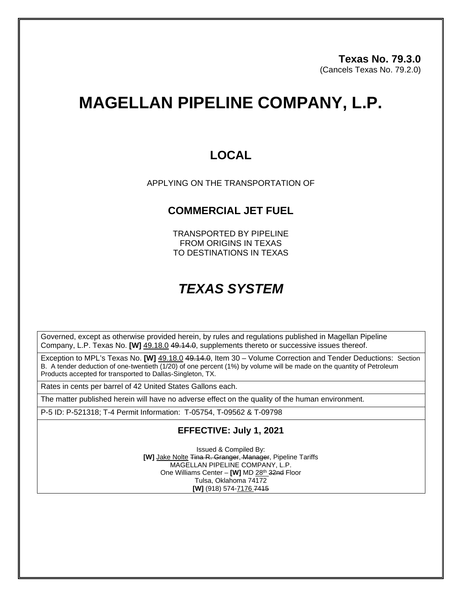# **MAGELLAN PIPELINE COMPANY, L.P.**

### **LOCAL**

APPLYING ON THE TRANSPORTATION OF

#### **COMMERCIAL JET FUEL**

TRANSPORTED BY PIPELINE FROM ORIGINS IN TEXAS TO DESTINATIONS IN TEXAS

## *TEXAS SYSTEM*

Governed, except as otherwise provided herein, by rules and regulations published in Magellan Pipeline Company, L.P. Texas No. **[W]** 49.18.0 49.14.0, supplements thereto or successive issues thereof.

Exception to MPL's Texas No. **[W]** 49.18.0 49.14.0, Item 30 – Volume Correction and Tender Deductions: Section B. A tender deduction of one-twentieth (1/20) of one percent (1%) by volume will be made on the quantity of Petroleum Products accepted for transported to Dallas-Singleton, TX.

Rates in cents per barrel of 42 United States Gallons each.

The matter published herein will have no adverse effect on the quality of the human environment.

P-5 ID: P-521318; T-4 Permit Information: T-05754, T-09562 & T-09798

#### **EFFECTIVE: July 1, 2021**

Issued & Compiled By: **[W]** Jake Nolte Tina R. Granger, Manager, Pipeline Tariffs MAGELLAN PIPELINE COMPANY, L.P. One Williams Center - [W] MD 28<sup>th</sup> 32nd Floor Tulsa, Oklahoma 74172 **[W]** (918) 574-7176 7415